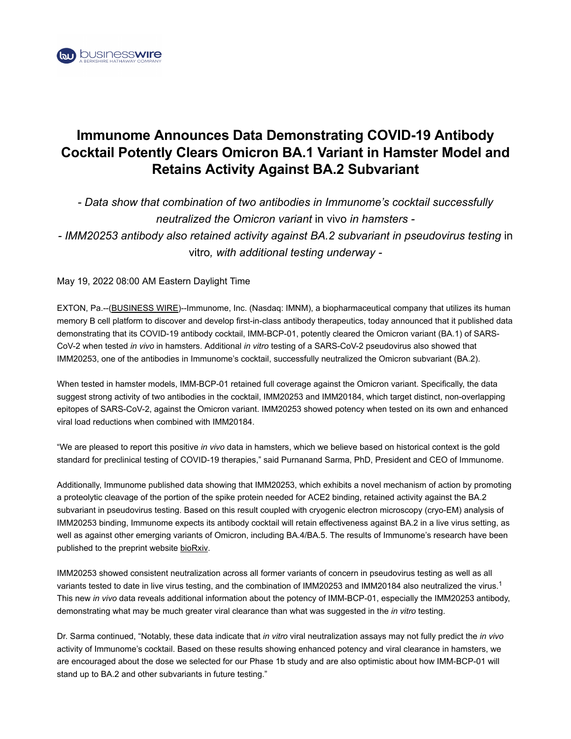

# **Immunome Announces Data Demonstrating COVID-19 Antibody Cocktail Potently Clears Omicron BA.1 Variant in Hamster Model and Retains Activity Against BA.2 Subvariant**

## *- Data show that combination of two antibodies in Immunome's cocktail successfully neutralized the Omicron variant* in vivo *in hamsters - - IMM20253 antibody also retained activity against BA.2 subvariant in pseudovirus testing* in vitro*, with additional testing underway -*

May 19, 2022 08:00 AM Eastern Daylight Time

EXTON, Pa.--[\(BUSINESS WIRE\)](https://www.businesswire.com/)--Immunome, Inc. (Nasdaq: IMNM), a biopharmaceutical company that utilizes its human memory B cell platform to discover and develop first-in-class antibody therapeutics, today announced that it published data demonstrating that its COVID-19 antibody cocktail, IMM-BCP-01, potently cleared the Omicron variant (BA.1) of SARS-CoV-2 when tested *in vivo* in hamsters. Additional *in vitro* testing of a SARS-CoV-2 pseudovirus also showed that IMM20253, one of the antibodies in Immunome's cocktail, successfully neutralized the Omicron subvariant (BA.2).

When tested in hamster models, IMM-BCP-01 retained full coverage against the Omicron variant. Specifically, the data suggest strong activity of two antibodies in the cocktail, IMM20253 and IMM20184, which target distinct, non-overlapping epitopes of SARS-CoV-2, against the Omicron variant. IMM20253 showed potency when tested on its own and enhanced viral load reductions when combined with IMM20184.

"We are pleased to report this positive *in vivo* data in hamsters, which we believe based on historical context is the gold standard for preclinical testing of COVID-19 therapies," said Purnanand Sarma, PhD, President and CEO of Immunome.

Additionally, Immunome published data showing that IMM20253, which exhibits a novel mechanism of action by promoting a proteolytic cleavage of the portion of the spike protein needed for ACE2 binding, retained activity against the BA.2 subvariant in pseudovirus testing. Based on this result coupled with cryogenic electron microscopy (cryo-EM) analysis of IMM20253 binding, Immunome expects its antibody cocktail will retain effectiveness against BA.2 in a live virus setting, as well as against other emerging variants of Omicron, including BA.4/BA.5. The results of Immunome's research have been published to the preprint website [bioRxiv](https://cts.businesswire.com/ct/CT?id=smartlink&url=https%3A%2F%2Fwww.biorxiv.org%2Fcontent%2F10.1101%2F2021.10.18.464900v2&esheet=52723712&newsitemid=20220519005134&lan=en-US&anchor=bioRxiv&index=1&md5=a5263ee5c0298baae917b08bb914c597).

IMM20253 showed consistent neutralization across all former variants of concern in pseudovirus testing as well as all variants tested to date in live virus testing, and the combination of IMM20253 and IMM20184 also neutralized the virus.<sup>1</sup> This new *in vivo* data reveals additional information about the potency of IMM-BCP-01, especially the IMM20253 antibody, demonstrating what may be much greater viral clearance than what was suggested in the *in vitro* testing.

Dr. Sarma continued, "Notably, these data indicate that *in vitro* viral neutralization assays may not fully predict the *in vivo* activity of Immunome's cocktail. Based on these results showing enhanced potency and viral clearance in hamsters, we are encouraged about the dose we selected for our Phase 1b study and are also optimistic about how IMM-BCP-01 will stand up to BA.2 and other subvariants in future testing."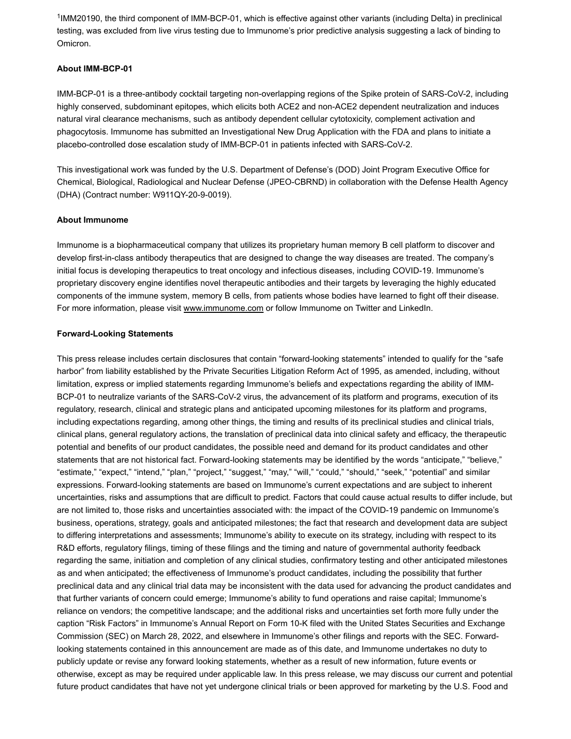<sup>1</sup>IMM20190, the third component of IMM-BCP-01, which is effective against other variants (including Delta) in preclinical testing, was excluded from live virus testing due to Immunome's prior predictive analysis suggesting a lack of binding to Omicron.

#### **About IMM-BCP-01**

IMM-BCP-01 is a three-antibody cocktail targeting non-overlapping regions of the Spike protein of SARS-CoV-2, including highly conserved, subdominant epitopes, which elicits both ACE2 and non-ACE2 dependent neutralization and induces natural viral clearance mechanisms, such as antibody dependent cellular cytotoxicity, complement activation and phagocytosis. Immunome has submitted an Investigational New Drug Application with the FDA and plans to initiate a placebo-controlled dose escalation study of IMM-BCP-01 in patients infected with SARS-CoV-2.

This investigational work was funded by the U.S. Department of Defense's (DOD) Joint Program Executive Office for Chemical, Biological, Radiological and Nuclear Defense (JPEO-CBRND) in collaboration with the Defense Health Agency (DHA) (Contract number: W911QY-20-9-0019).

#### **About Immunome**

Immunome is a biopharmaceutical company that utilizes its proprietary human memory B cell platform to discover and develop first-in-class antibody therapeutics that are designed to change the way diseases are treated. The company's initial focus is developing therapeutics to treat oncology and infectious diseases, including COVID-19. Immunome's proprietary discovery engine identifies novel therapeutic antibodies and their targets by leveraging the highly educated components of the immune system, memory B cells, from patients whose bodies have learned to fight off their disease. For more information, please visit [www.immunome.com](https://cts.businesswire.com/ct/CT?id=smartlink&url=http%3A%2F%2Fwww.immunome.com&esheet=52723712&newsitemid=20220519005134&lan=en-US&anchor=www.immunome.com&index=2&md5=9c37ce4708138b4605fe8fb943244b7a) or follow Immunome on Twitter and LinkedIn.

#### **Forward-Looking Statements**

This press release includes certain disclosures that contain "forward-looking statements" intended to qualify for the "safe harbor" from liability established by the Private Securities Litigation Reform Act of 1995, as amended, including, without limitation, express or implied statements regarding Immunome's beliefs and expectations regarding the ability of IMM-BCP-01 to neutralize variants of the SARS-CoV-2 virus, the advancement of its platform and programs, execution of its regulatory, research, clinical and strategic plans and anticipated upcoming milestones for its platform and programs, including expectations regarding, among other things, the timing and results of its preclinical studies and clinical trials, clinical plans, general regulatory actions, the translation of preclinical data into clinical safety and efficacy, the therapeutic potential and benefits of our product candidates, the possible need and demand for its product candidates and other statements that are not historical fact. Forward-looking statements may be identified by the words "anticipate," "believe," "estimate," "expect," "intend," "plan," "project," "suggest," "may," "will," "could," "should," "seek," "potential" and similar expressions. Forward-looking statements are based on Immunome's current expectations and are subject to inherent uncertainties, risks and assumptions that are difficult to predict. Factors that could cause actual results to differ include, but are not limited to, those risks and uncertainties associated with: the impact of the COVID-19 pandemic on Immunome's business, operations, strategy, goals and anticipated milestones; the fact that research and development data are subject to differing interpretations and assessments; Immunome's ability to execute on its strategy, including with respect to its R&D efforts, regulatory filings, timing of these filings and the timing and nature of governmental authority feedback regarding the same, initiation and completion of any clinical studies, confirmatory testing and other anticipated milestones as and when anticipated; the effectiveness of Immunome's product candidates, including the possibility that further preclinical data and any clinical trial data may be inconsistent with the data used for advancing the product candidates and that further variants of concern could emerge; Immunome's ability to fund operations and raise capital; Immunome's reliance on vendors; the competitive landscape; and the additional risks and uncertainties set forth more fully under the caption "Risk Factors" in Immunome's Annual Report on Form 10-K filed with the United States Securities and Exchange Commission (SEC) on March 28, 2022, and elsewhere in Immunome's other filings and reports with the SEC. Forwardlooking statements contained in this announcement are made as of this date, and Immunome undertakes no duty to publicly update or revise any forward looking statements, whether as a result of new information, future events or otherwise, except as may be required under applicable law. In this press release, we may discuss our current and potential future product candidates that have not yet undergone clinical trials or been approved for marketing by the U.S. Food and